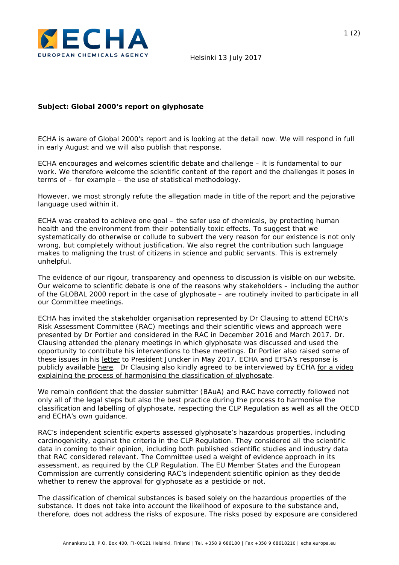

## **Subject: Global 2000's report on glyphosate**

ECHA is aware of Global 2000's report and is looking at the detail now. We will respond in full in early August and we will also publish that response.

ECHA encourages and welcomes scientific debate and challenge – it is fundamental to our work. We therefore welcome the scientific content of the report and the challenges it poses in terms of – for example – the use of statistical methodology.

However, we most strongly refute the allegation made in title of the report and the pejorative language used within it.

ECHA was created to achieve one goal – the safer use of chemicals, by protecting human health and the environment from their potentially toxic effects. To suggest that we systematically do otherwise or collude to subvert the very reason for our existence is not only wrong, but completely without justification. We also regret the contribution such language makes to maligning the trust of citizens in science and public servants. This is extremely unhelpful.

The evidence of our rigour, transparency and openness to discussion is visible on our website. Our welcome to scientific debate is one of the reasons why [stakeholders](https://echa.europa.eu/about-us/partners-and-networks/stakeholders/echas-accredited-stakeholder-organisations) – including the author of the GLOBAL 2000 report in the case of glyphosate – are routinely invited to participate in all our Committee meetings.

ECHA has invited the stakeholder organisation represented by Dr Clausing to attend ECHA's Risk Assessment Committee (RAC) meetings and their scientific views and approach were presented by Dr Portier and considered in the RAC in December 2016 and March 2017. Dr. Clausing attended the plenary meetings in which glyphosate was discussed and used the opportunity to contribute his interventions to these meetings. Dr Portier also raised some of these issues in his [letter](https://www.global2000.at/sites/global/files/Portier_Glyphsat_Brief_Juncker.pdf) to President Juncker in May 2017. ECHA and EFSA's response is publicly available [here.](https://echa.europa.eu/documents/10162/23294236/portier_echa_efsa_response.pdf/9e199eca-af2f-96bb-9e61-d6bae2588f4b) Dr Clausing also kindly agreed to be interviewed by ECHA [for a video](https://www.youtube.com/watch?v=NBapbs5-7b8.)  [explaining the process of harmonising the classification of glyphosate.](https://www.youtube.com/watch?v=NBapbs5-7b8.)

We remain confident that the dossier submitter (BAuA) and RAC have correctly followed not only all of the legal steps but also the best practice during the process to harmonise the classification and labelling of glyphosate, respecting the CLP Regulation as well as all the OECD and ECHA's own guidance.

RAC's independent scientific experts assessed glyphosate's hazardous properties, including carcinogenicity, against the criteria in the CLP Regulation. They considered all the scientific data in coming to their opinion, including both published scientific studies and industry data that RAC considered relevant. The Committee used a weight of evidence approach in its assessment, as required by the CLP Regulation. The EU Member States and the European Commission are currently considering RAC's independent scientific opinion as they decide whether to renew the approval for glyphosate as a pesticide or not.

The classification of chemical substances is based solely on the hazardous properties of the substance. It does not take into account the likelihood of exposure to the substance and, therefore, does not address the risks of exposure. The risks posed by exposure are considered